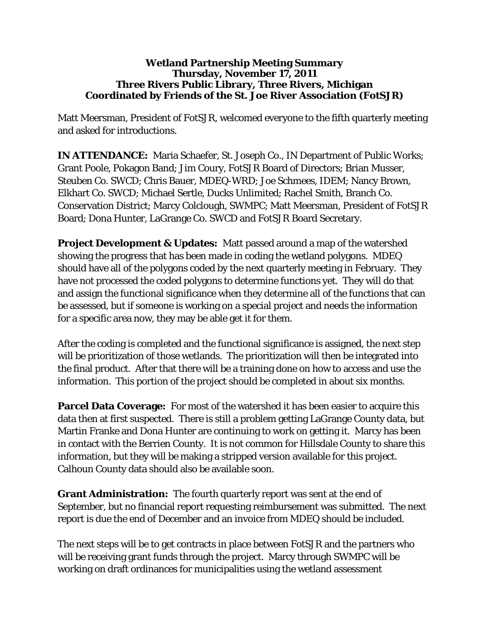## **Wetland Partnership Meeting Summary Thursday, November 17, 2011 Three Rivers Public Library, Three Rivers, Michigan Coordinated by Friends of the St. Joe River Association (FotSJR)**

Matt Meersman, President of FotSJR, welcomed everyone to the fifth quarterly meeting and asked for introductions.

**IN ATTENDANCE:** Maria Schaefer, St. Joseph Co., IN Department of Public Works; Grant Poole, Pokagon Band; Jim Coury, FotSJR Board of Directors; Brian Musser, Steuben Co. SWCD; Chris Bauer, MDEQ-WRD; Joe Schmees, IDEM; Nancy Brown, Elkhart Co. SWCD; Michael Sertle, Ducks Unlimited; Rachel Smith, Branch Co. Conservation District; Marcy Colclough, SWMPC; Matt Meersman, President of FotSJR Board; Dona Hunter, LaGrange Co. SWCD and FotSJR Board Secretary.

**Project Development & Updates:** Matt passed around a map of the watershed showing the progress that has been made in coding the wetland polygons. MDEQ should have all of the polygons coded by the next quarterly meeting in February. They have not processed the coded polygons to determine functions yet. They will do that and assign the functional significance when they determine all of the functions that can be assessed, but if someone is working on a special project and needs the information for a specific area now, they may be able get it for them.

After the coding is completed and the functional significance is assigned, the next step will be prioritization of those wetlands. The prioritization will then be integrated into the final product. After that there will be a training done on how to access and use the information. This portion of the project should be completed in about six months.

**Parcel Data Coverage:** For most of the watershed it has been easier to acquire this data then at first suspected. There is still a problem getting LaGrange County data, but Martin Franke and Dona Hunter are continuing to work on getting it. Marcy has been in contact with the Berrien County. It is not common for Hillsdale County to share this information, but they will be making a stripped version available for this project. Calhoun County data should also be available soon.

**Grant Administration:** The fourth quarterly report was sent at the end of September, but no financial report requesting reimbursement was submitted. The next report is due the end of December and an invoice from MDEQ should be included.

The next steps will be to get contracts in place between FotSJR and the partners who will be receiving grant funds through the project. Marcy through SWMPC will be working on draft ordinances for municipalities using the wetland assessment